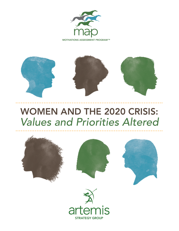



# WOMEN AND THE 2020 CRISIS: *Values and Priorities Altered*







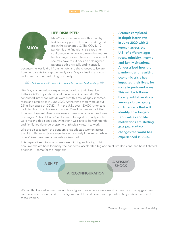

## LIFE DISRUPTED

Maya\* is a young woman with a healthy toddler, a supportive husband and a good job in the southern U.S. The COVID-19 pandemic and financial crisis shook her confidence in her job and made her rethink her housing choices. She is also concerned she may have to cut back on helping her parents both physically and financially

because she was laid off from her job, and she chooses to isolate from her parents to keep the family safe. Maya is feeling anxious and worried about protecting her family.

#### $\bullet$  *I felt secure with my job before but now I feel anxiety.*  $\bullet$

Like Maya, all Americans experienced a jolt to their lives due to the COVID-19 pandemic and the economic aftermath. We conducted interviews with 31 women with a mix of ages, incomes, races and ethnicities in June 2020. At that time there were about 2.5 million cases of COVID-19 in the U.S., over 120,000 Americans had died from the disease and about 35 million people had filed for unemployment. Americans were experiencing challenges to reopening as "Stay at Home" orders were being lifted, and people were making decisions about whether it was safe to be with friends and family, let alone go shopping or physically return to work.

Like the disease itself, the pandemic has affected women across the U.S. differently. Some experienced relatively little impact while others' lives have been completely disrupted.

Artemis completed in-depth interviews in June 2020 with 31 women across the U.S. of different ages, races, ethnicity, income and family situations. All described how the pandemic and resulting economic crisis has impacted their lives, for some in profound ways. This will be followed by a quantitative study among a broad group of Americans that will identify how longerterm values and life motivations are shifting as a result of the changes the world has experienced in 2020.

This paper dives into what women are thinking and doing right

now. We explore how, for many, the pandemic accelerated big and small life decisions, and how it shifted priorities — some for the long term.



We can think about women having three types of experiences as a result of the crisis. The biggest group are those who experienced a reconfiguration of their life events and priorities. Maya, above, is one of these women.

*\*Names changed to protect confidentiality.*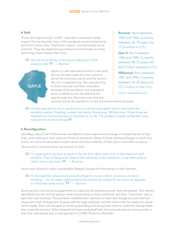## A Shift

Those who experienced "a shift" describe a somewhat subtle impact. During the early days of the pandemic several switched to work from home, they "sheltered in place" and eliminated social activities. They are experiencing sadness and loneliness, but they admit they have it better than most.

## **66** We lost some money in the stock market, but I think *everyone did.* " *— Boomer*



Gayle is a well educated women in her early 50's on the east coast who has concerns about the economy overall and the turmoil the U.S. is experiencing. She was planning to find a new job and feels vulnerable because of the pandemic, but expressed some confidence that she will find her way through this. She had more time this

Boomer: Born between 1946 and 1964. Currently between 56-74 years old (71.6 million in U.S.)

Gen X: Born between 1965 and 1980. Currently between 40-55 years old (65.2 million people in U.S.)

Millennial: Born between 1981 and 1996. Currently between 24-39 years old (72.1 million in the U.S.)

*Source: www.kasasa.com*

summer due to the pandemic so she focused on personal goals.

*If's very important to me to use this time to achieve some goals I had in mind when the pandemic started. Finishing courses I was taking. Reading up. Writing more. Those things are important to me because they're important to my life. The pandemic made me feel like I have* more time to do those things.

## A Reconfiguration

Like Maya, about half of the women we talked to have experienced change in multiple facets of their lives, most relating to their work and financial situations. Many of those employed began to work from home, and several expressed concern about the future stability of their job or even their company.

One woman is worried about going back to work:

 $\bullet$  I'm supposed to go back to teach in the fall, but I don't want to be in the classroom with *students. They're always sick. Doesn't feel safe to be in the classroom. I may retire early so I don't have to go back.* " *— Boomer* 

Some were forced to make considerable lifestyle changes for themselves or their families.

## **66** It's changed the conversation around college for my son, which, you know, it's nerve *wracking… So, I'm really, really pushing the community college for two years as opposed to a four-year state school.* " *— Boomer*

Some say the crisis has encouraged them to make big life decisions sooner than anticipated. One woman described how she and her partner were saving money so they could both quit their "corporate" jobs to start their own business. The pandemic solidified their decision to make that change because she had always felt a lack of alignment of goals with her large employer and the crisis made her assess her values more closely. She's now focused on reducing spending and saving even more to make this change faster than originally planned. Other research we have conducted finds that some people are retiring earlier or later than anticipated due to changes tied to COVID-19 and its aftermath.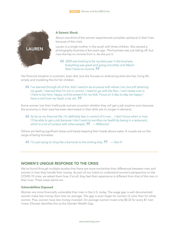

#### A Seismic Shock

About one-third of the women experienced complete upheaval in their lives because of the crisis.

Lauren is a single mother in the south with three children. She started a photography business a few years ago. The business was just taking off, but now she has no income from it. As she put it:

## " *2020 was looking to be my best year in the business. Everything was great and going smoothly until March. Now I have no income.*

Her financial situation is uncertain, even dire, but she focuses on embracing what she has, living life simply and modeling this for her children.

 $\bullet$  I've learned through all of this, that I need to be at peace with where I am, but still attaining *my goals. I learned that I'm not in control. I need to go with the flow. I can't stress over it. I* have to be here, happy, and be present for my kids. Focus on it day-to-day, be happy *I* have a roof over my head, a car, etc. **99** 

Some women lost their livelihoods and are uncertain whether they will get a job anytime soon because the economy in their area has been decimated or their skills are no longer in demand.

" *As far as my financial life, I'm definitely less in control of it now… I don't know when or how I'll be able to get a job because I don't want to sacrifice my health by being in a restaurant,* which is a lot of contact with other people. **II** — Millennial

Others are feeling significant stress and barely keeping their heads above water. A couple are on the verge of being homeless.

**66** I'm just trying to cling like a barnacle to the sinking ship.  $\bullet \bullet$  — Gen X

## WOMEN'S UNIQUE RESPONSE TO THE CRISIS

We've found through multiple studies that there are more similarities than differences between men and women in how they handle their money. As part of our intent to understand women's perspective on the COVID-19 crisis, we asked them how, if at all, they feel their experience is different from that of the men in their lives. Three areas stand out.

## Vulnerabilities Exposed

Women are more financially vulnerable than men in the U.S. today. The wage gap is well documented: women make less money than men on average. The gap is even larger for women of color than for white women. Plus, women have less money invested. On average women invest only \$0.32 for every \$1 men invest: Ellevest identifies this as the Gender Wealth Gap.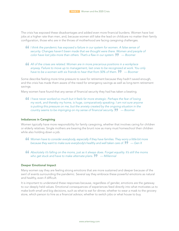The crisis has exposed these disadvantages and added even more financial burdens. Women have lost jobs at a higher rate than men, and, because women still take the lead on childcare no matter their family configuration, those who are in the throes of motherhood are facing caregiving challenges.

- $\bullet$  1 think the pandemic has exposed a failure in our system for women. A false sense of *security. Changes haven't been made that we thought were there. Women and people of color have lost jobs more than others. That's a flaw in our system.* " *— Boomer*
- " *All of the crises are related. Women are in more precarious positions in a workplace*  anyway. Failure to move up to management, last ones to be recognized at work. You only *have to be a women with six friends to hear that from 50% of them.*  $\mathbf{?} \ \ -$  Boomer

Some describe feeling more time pressure to save for retirement because they hadn't saved enough, and the crisis has made them aware of the need for emergency savings as well as long-term retirement savings.

Many women have found that any sense of financial security they had has taken a beating.

**66** I have never worked so much but it feels far more strategic. Perhaps the fear of losing *my work, and thereby my home, is huge, comparatively speaking. I am not sure anyone is putting this pressure on me, but the anxiety created by the ongoing situation in the country seems to be impinging on my sense of financial security.*  $\mathbf{?} \cdot \mathbf{?}$  *— Boomer* 

#### Imbalances in Caregiving

Women typically have more responsibility for family caregiving, whether that involves caring for children or elderly relatives. Single mothers are bearing the brunt now as many must homeschool their children while also holding down a job.

- $\bullet\bullet$  Women have to consider everybody, especially if they have families. They worry a little bit more *because they want to make sure everybody's healthy and well taken care of.*  $\mathcal{D}$  — Gen X
- " *Absolutely it's falling on the moms, just as it always does. Forget equality. It's still the moms who get stuck and have to make alternate plans.* " *— Millennial*

#### Deeper Emotional Impact

Many women say they are feeling strong emotions that are more sustained and deeper because of the swirl of events surrounding the pandemic. Several say they embrace these powerful emotions as natural and healthy, even if difficult.

It is important to understand these responses because, regardless of gender, emotions are the gateway to our deeply held values. Emotional consequences of experiences feed directly into what motivates us to make both small and big decisions, such as what to eat for dinner, whether to wear a mask to the grocery store, which person to hire as a financial advisor, whether to switch jobs or what house to buy.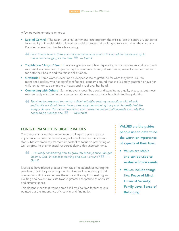A few powerful emotions emerge:

• Lack of Control | The nearly universal sentiment resulting from the crisis is lack of control. A pandemic followed by a financial crisis followed by social protests and prolonged tensions, all on the cusp of a Presidential election, has heads spinning.

 $\bullet$  I don't know how to think about it exactly because a lot of it is out of our hands and up in *the air and changing all the time.*  $\mathbf{?} \bullet \mathbf{?}$  *— Gen X* 

- Trepidation / Angst / Fear I There are gradations of fear depending on circumstances and how much women's lives have been impacted by the pandemic. Nearly all women expressed some form of fear for both their health and their financial situation.
- **Gratitude | Some women described a deeper sense of gratitude for what they have. Lauren,** mentioned earlier, who has significant financial concerns, found that she is simply grateful to have her children at home, a car in the driveway and a roof over her head.
- Connecting with Others | Some introverts described social distancing as a quilty pleasure, but most women really miss the human connection. One woman explains how it shifted her priorities:
	- " *The situation exposed to me that I didn't prioritize making connections with friends and family as I should have. I was more caught up in being busy, and I honestly feel like everybody was. This slowed me down and makes me realize that's actually a priority that needs to be number one.* " *— Millennial*

## LONG-TERM SHIFT IN HIGHER VALUES

The pandemic fallout has led women of all ages to place greater importance on financial security, regardless of their socioeconomic status. Most women say it's more important to focus on protecting as well as growing their financial resources during this uncertain time.

## " *…I'm really considering how to grow [my money] once I do get income. Can I invest in something and turn it around?*  $\mathbf{?7}$  – *Gen X*

Most also have placed greater emphasis on relationships during the pandemic, both by protecting their families and maintaining social connections. At the same time there is a shift away from seeking an exciting and adventurous life toward greater acceptance of one's life and circumstances.

This doesn't mean that women aren't still making time for fun; several pointed out the importance of creativity and finding joy.

VALUES are the guides people use to determine the worth or importance of aspects of their lives.

- Values are stable and can be used to evaluate future events
- Values include things like: Peace of Mind, Financial Security,
	- Family Love, Sense of
- Belonging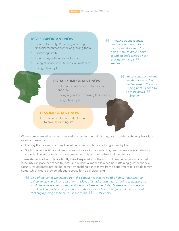## MORE IMPORTANT NOW

- Financial security: Protecting or saving financial resources as well as growing them
- **Protecting family**
- Connecting with family and friends
- Being at peace with life and circumstances
- Living a healthy life

" *…hearing about so many unemployed, how quickly things can take a turn. I'm being more cautious about spending and saving so I can provide for myself. — Gen X* "

# EQUALLY IMPORTANT NOW

- To be in control over the direction of one's life.
- Having a good time; making time for fun
- Living a healthy life

## LESS IMPORTANT NOW

• To be adventurous and take risks; to have an exciting life

**66** I'm concentrating on my *health more now. Not just because of the virus – being home, I need to*  **be more active. <sup>1</sup>** *— Boomer*

When women are asked what is resonating most for them right now, not surprisingly the emphasis is on safety and security.

- Half say they are most focused on either protecting family or living a healthy life.
- Slightly fewer say it's about financial security saving or protecting financial resources or attaining important career goals to provide greater security for themselves and their family.

These elements of security are tightly linked, especially for the most vulnerable, for whom financial insecurity can pose direct health risks. One Millennial mom explained how attaining greater financial security would better protect her family by enabling her to move from an apartment to a single family home, which would provide adequate space for social distancing.

**66** One of the things we learned from this situation is that we need a home. It has been so *painful to stay here in an apartment… Maybe if I had known this was going to happen, we would have developed more credit, because here in the United States everything is about credit and our problem to get a home is that we don't have enough credit. So, the most challenging thing has been the space for us.* " *— Millennial*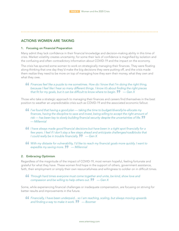# ACTIONS WOMEN ARE TAKING

#### 1. Focusing on Financial Preparation

Many admit they lack confidence in their financial knowledge and decision-making ability in this time of crisis. Market volatility creates uncertainty; for some their lack of confidence is magnified by isolation and the confusing and often contradictory information about COVID-19 and the impact on the economy.

The crisis has spurred some women to work on strategically managing their finances. They were floating along thinking that one day they'd make the big decisions they were putting off, and the crisis made them realize they need to be more on top of managing how they earn their money, what they own and what they owe.

## **66** Finances feel like a puzzle to me sometimes. How do I know that I'm doing the right thing, *because I feel like I hear so many different things. I know it's about finding the right pieces that fit for my goals, but it can be difficult to know where to begin.* " *— Gen X*

Those who take a strategic approach to managing their finances and careers find themselves in the best position to weather an unpredictable crisis such as COVID-19 and the associated economic fallout.

- **16** I've found that having a good plan taking the time to budget/diversify/re-allocate my finances, having the discipline to save and invest, being willing to accept the right amount of *risk — has been key to slowly building financial security despite the uncertainties of life. — Millennial* "
- $\bullet$  I have always made good financial decisions but have been in a tight spot financially for a *few years. I feel if I don't stay a few steps ahead and anticipate challenges/roadblocks that I* could really be in trouble financially.  $\mathbf{P}$  – Gen X
- $\bullet\bullet$  With my distaste for vulnerability, I'd like to reach my financial goals more quickly. I want to *expedite my saving more.* " *— Millennial*

## 2. Embracing Optimism

Regardless of the magnitude of the impact of COVID-19, most remain hopeful, feeling fortunate and grateful for what they have. These women find hope in the support of others, government assistance, faith, their employment or simply their own resourcefulness and willingness to soldier on in difficult times.

## **66** Through hard times everyone must come together and unite, be kind, show love and *compassion and be willing to help others out.* " *— Gen X*

Some, while experiencing financial challenges or inadequate compensation, are focusing on striving for better results and improvements in the future.

**66** Financially, I have been underpaid... so I am reaching, scaling, but always moving upwards *and finding a way to make it work.* " *— Boomer*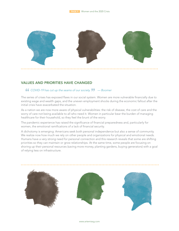

# VALUES AND PRIORITIES HAVE CHANGED

## " *COVID-19 has cut up the seams of our society.* " *— Boomer*

The series of crises has exposed flaws in our social system. Women are more vulnerable financially due to existing wage and wealth gaps, and the uneven employment shocks during the economic fallout after the initial crisis have exacerbated the situation.

As a nation we are now more aware of physical vulnerabilities: the risk of disease, the cost of care and the worry of care not being available to all who need it. Women in particular bear the burden of managing healthcare for their household, so they feel the brunt of the worry.

The pandemic experience has raised the significance of financial preparedness and, particularly for women, the emotional ramifications of a lack of financial security.

A dichotomy is emerging: Americans seek both personal independence but also a sense of community. We realize now how much we rely on other people and organizations for physical and emotional needs. Humans have a very strong need for personal connection and this research reveals that some are shifting priorities so they can maintain or grow relationships. At the same time, some people are focusing on shoring up their personal resources (saving more money, planting gardens, buying generators) with a goal of relying less on infrastructure.

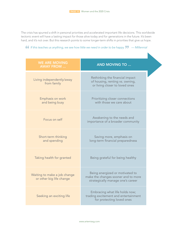The crisis has spurred a shift in personal priorities and accelerated important life decisions. This worldwide tectonic event will have a lasting impact for those alive today and for generations in the future. It's been hard, and it's not over. But this research points to some longer-term shifts in priorities that give us hope.

*If this teaches us anything, we see how little we need in order to be happy.* $\bullet \bullet$ *— Millennial* 

| <b>WE ARE MOVING</b><br><b>AWAY FROM </b>                | <b>AND MOVING TO </b>                                                                                       |
|----------------------------------------------------------|-------------------------------------------------------------------------------------------------------------|
| Living independently/away<br>from family                 | Rethinking the financial impact<br>of housing, renting vs. owning,<br>or living closer to loved ones        |
| Emphasis on work<br>and being busy                       | Prioritizing closer connections<br>with those we care about                                                 |
| Focus on self                                            | Awakening to the needs and<br>importance of a broader community                                             |
| Short-term thinking<br>and spending                      | Saving more, emphasis on<br>long-term financial preparedness                                                |
| Taking health for granted                                | Being grateful for being healthy                                                                            |
| Waiting to make a job change<br>or other big life change | Being energized or motivated to<br>make the changes sooner and to more<br>strategically manage one's career |
| Seeking an exciting life                                 | Embracing what life holds now;<br>trading excitement and entertainment<br>for protecting loved ones         |